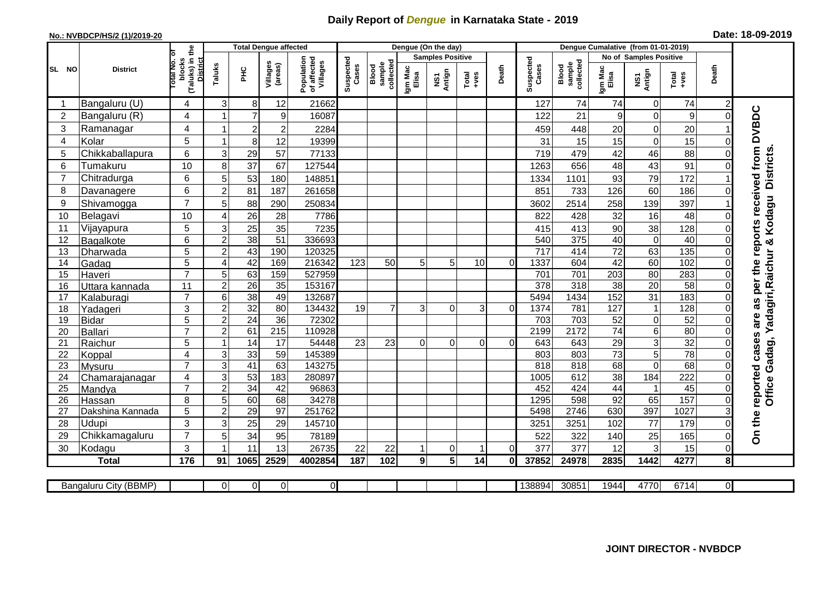## **Daily Report of** *Dengue* **in Karnataka State - 2019**

## **No.: NVBDCP/HS/2 (1)/2019-20 Date: 18-09-2019**

|                |                           |                                                             |                         |                  | <b>Total Dengue affected</b> |                                       |                    |                              | Dengue (On the day) |                         |                                                              |          |                    |                              |                  |                               |                 |                |                                        |
|----------------|---------------------------|-------------------------------------------------------------|-------------------------|------------------|------------------------------|---------------------------------------|--------------------|------------------------------|---------------------|-------------------------|--------------------------------------------------------------|----------|--------------------|------------------------------|------------------|-------------------------------|-----------------|----------------|----------------------------------------|
|                |                           |                                                             |                         |                  |                              |                                       |                    |                              |                     | <b>Samples Positive</b> |                                                              |          |                    |                              |                  | <b>No of Samples Positive</b> |                 |                |                                        |
| SL NO          | <b>District</b>           | (Taluks) in the<br>otal No. of<br>blocks<br><b>District</b> | Taluks                  | 꾿                | Villages<br>(areas)          | Population<br>of affected<br>Villages | Suspected<br>Cases | sample<br>collected<br>Blood | Igm Mac<br>Elisa    | NS1<br>Antign           | $\begin{array}{c}\n\text{Total} \\ \text{Area}\n\end{array}$ | Death    | Suspected<br>Cases | sample<br>collected<br>Blood | Igm Mac<br>Elisa | NS1<br>Antign                 | Total<br>+ves   | Death          |                                        |
| -1             | Bangaluru (U)             | 4                                                           | 3                       | 8 <sup>1</sup>   | 12                           | 21662                                 |                    |                              |                     |                         |                                                              |          | 127                | 74                           | 74               | 0                             | 74              | $\overline{2}$ |                                        |
| 2              | Bangaluru (R)             | 4                                                           |                         | $\overline{7}$   | 9                            | 16087                                 |                    |                              |                     |                         |                                                              |          | 122                | 21                           | 9                | 0                             | 9               | $\Omega$       |                                        |
| 3              | Ramanagar                 | 4                                                           | -1                      | $\boldsymbol{2}$ | $\overline{2}$               | 2284                                  |                    |                              |                     |                         |                                                              |          | 459                | 448                          | 20               | $\mathbf 0$                   | 20              |                | as per the reports received from DVBDC |
| 4              | Kolar                     | 5                                                           | $\overline{\mathbf{1}}$ | 8 <sup>1</sup>   | 12                           | 19399                                 |                    |                              |                     |                         |                                                              |          | 31                 | 15                           | 15               | $\mathbf 0$                   | 15              | $\Omega$       |                                        |
| 5              | Chikkaballapura           | 6                                                           | 3                       | 29               | 57                           | 77133                                 |                    |                              |                     |                         |                                                              |          | 719                | 479                          | 42               | 46                            | 88              | 0              |                                        |
| 6              | Tumakuru                  | 10                                                          | 8                       | 37               | 67                           | 127544                                |                    |                              |                     |                         |                                                              |          | 1263               | 656                          | 48               | 43                            | 91              | 0              | <b>Districts</b>                       |
| $\overline{7}$ | Chitradurga               | 6                                                           | 5                       | 53               | 180                          | 148851                                |                    |                              |                     |                         |                                                              |          | 1334               | 1101                         | 93               | 79                            | 172             |                |                                        |
| 8              | Davanagere                | 6                                                           | $\overline{2}$          | 81               | 187                          | 261658                                |                    |                              |                     |                         |                                                              |          | 851                | 733                          | 126              | 60                            | 186             | $\Omega$       |                                        |
| 9              | Shivamogga                | $\overline{7}$                                              | 5                       | 88               | 290                          | 250834                                |                    |                              |                     |                         |                                                              |          | 3602               | 2514                         | 258              | 139                           | 397             |                | Kodagu                                 |
| 10             | Belagavi                  | 10                                                          | 4                       | 26               | 28                           | 7786                                  |                    |                              |                     |                         |                                                              |          | 822                | 428                          | 32               | 16                            | 48              | 0              |                                        |
| 11             | Vijayapura                | 5                                                           | 3                       | 25               | 35                           | 7235                                  |                    |                              |                     |                         |                                                              |          | 415                | 413                          | 90               | $\overline{38}$               | 128             | 0              |                                        |
| 12             | Bagalkote                 | 6                                                           | $\overline{c}$          | 38               | 51                           | 336693                                |                    |                              |                     |                         |                                                              |          | 540                | 375                          | 40               | $\overline{0}$                | 40              | $\Omega$       |                                        |
| 13             | Dharwada                  | 5                                                           | $\overline{2}$          | 43               | 190                          | 120325                                |                    |                              |                     |                         |                                                              |          | $\overline{717}$   | 414                          | $\overline{72}$  | 63                            | 135             | $\Omega$       | Yadagiri, Raichur &                    |
| 14             | Gadag                     | $\overline{5}$                                              | $\overline{A}$          | 42               | 169                          | 216342                                | 123                | 50                           | 5 <sup>1</sup>      | 5                       | 10                                                           | $\Omega$ | 1337               | 604                          | 42               | 60                            | 102             | 0              |                                        |
| 15             | Haveri                    | $\overline{7}$                                              | 5                       | 63               | 159                          | 527959                                |                    |                              |                     |                         |                                                              |          | 701                | 701                          | 203              | 80                            | 283             | 0              |                                        |
| 16             | Uttara kannada            | $\overline{11}$                                             | $\overline{2}$          | $\overline{26}$  | 35                           | 153167                                |                    |                              |                     |                         |                                                              |          | 378                | 318                          | $\overline{38}$  | 20                            | 58              | 0              |                                        |
| 17             | Kalaburagi                | $\overline{7}$                                              | 6                       | $\overline{38}$  | 49                           | 132687                                |                    |                              |                     |                         |                                                              |          | 5494               | 1434                         | 152              | 31                            | 183             | $\Omega$       |                                        |
| 18             | Yadageri                  | 3                                                           | $\overline{c}$          | 32               | 80                           | 134432                                | 19                 | $\overline{7}$               | $\overline{3}$      | $\Omega$                | 3                                                            | $\Omega$ | 1374               | 781                          | 127              | $\mathbf{1}$                  | 128             | 0              |                                        |
| 19             | <b>Bidar</b>              | 5                                                           | $\boldsymbol{2}$        | $\overline{24}$  | 36                           | 72302                                 |                    |                              |                     |                         |                                                              |          | 703                | 703                          | 52               | $\mathbf 0$                   | 52              | $\Omega$       | are                                    |
| 20             | <b>Ballari</b>            | $\overline{7}$                                              | 2                       | 61               | $\overline{215}$             | 110928                                |                    |                              |                     |                         |                                                              |          | 2199               | $\overline{2172}$            | $\overline{74}$  | 6                             | $\overline{80}$ | 0              |                                        |
| 21             | Raichur                   | 5                                                           | -1                      | 14               | $\overline{17}$              | 54448                                 | 23                 | 23                           | $\Omega$            | $\Omega$                | $\Omega$                                                     | $\Omega$ | 643                | 643                          | $\overline{29}$  | $\overline{3}$                | 32              | $\Omega$       | reported cases<br>Office Gadag,        |
| 22             | Koppal                    | 4                                                           | 3                       | 33               | 59                           | 145389                                |                    |                              |                     |                         |                                                              |          | 803                | 803                          | $\overline{73}$  | $\overline{5}$                | 78              | $\Omega$       |                                        |
| 23             | Mysuru                    | $\overline{7}$                                              | 3                       | 41               | 63                           | 143275                                |                    |                              |                     |                         |                                                              |          | 818                | 818                          | 68               | $\overline{0}$                | 68              | $\mathbf 0$    |                                        |
| 24             | Chamarajanagar            | 4                                                           | 3                       | 53               | 183                          | 280897                                |                    |                              |                     |                         |                                                              |          | 1005               | 612                          | 38               | 184                           | 222             | $\Omega$       |                                        |
| 25             | Mandya                    | $\overline{7}$                                              | $\overline{2}$          | 34               | 42                           | 96863                                 |                    |                              |                     |                         |                                                              |          | 452                | 424                          | 44               | $\mathbf{1}$                  | $\overline{45}$ | 0              |                                        |
| 26             | Hassan                    | 8                                                           | 5                       | 60               | 68<br>97                     | 34278<br>251762                       |                    |                              |                     |                         |                                                              |          | 1295<br>5498       | 598<br>2746                  | 92<br>630        | 65<br>397                     | 157<br>1027     | 0<br>3         |                                        |
| 27<br>28       | Dakshina Kannada<br>Udupi | 5<br>3                                                      | $\overline{2}$          | 29               |                              |                                       |                    |                              |                     |                         |                                                              |          |                    |                              | 102              | 77                            | 179             | $\Omega$       |                                        |
| 29             | Chikkamagaluru            | $\overline{7}$                                              | 3<br>5                  | 25<br>34         | 29<br>95                     | 145710<br>78189                       |                    |                              |                     |                         |                                                              |          | 3251<br>522        | 3251<br>322                  | 140              | 25                            | 165             | $\Omega$       | On the                                 |
| 30             | Kodagu                    | 3                                                           | -1                      | 11               | 13                           | 26735                                 | 22                 | 22                           |                     | $\Omega$                |                                                              | $\Omega$ | 377                | 377                          | 12               | 3                             | 15              | 0              |                                        |
|                | <b>Total</b>              | 176                                                         | 91                      | 1065             | 2529                         | 4002854                               | 187                | 102                          | 9 <sup>1</sup>      | 5                       | 14                                                           | 0l       | 37852              | 24978                        | 2835             | 1442                          | 4277            | 8              |                                        |
|                |                           |                                                             |                         |                  |                              |                                       |                    |                              |                     |                         |                                                              |          |                    |                              |                  |                               |                 |                |                                        |
|                |                           |                                                             | $\Omega$                | 0                | $\overline{0}$               | $\overline{0}$                        |                    |                              |                     |                         |                                                              |          | 138894             | 30851                        | 1944             | 4770                          | 6714            | ΟI             |                                        |
|                | Bangaluru City (BBMP)     |                                                             |                         |                  |                              |                                       |                    |                              |                     |                         |                                                              |          |                    |                              |                  |                               |                 |                |                                        |